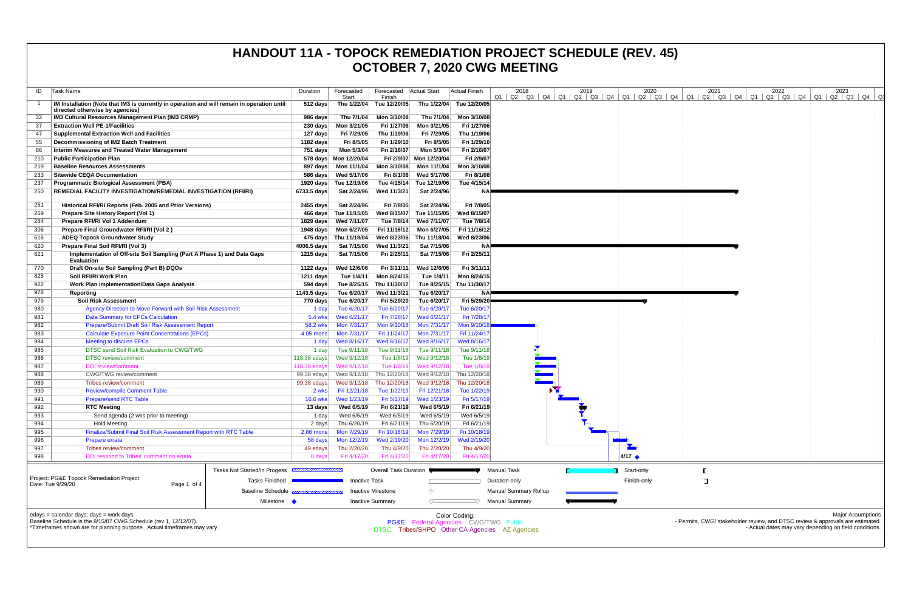| ID                                                                                                                                                                                     | Task Name                                                                                                                      | Duration              | Forecasted<br>Start        | Forecasted<br>Finish      | Actual Start                                                                                            | <b>Actual Finish</b>      | 2018                         | 2019 | 2020               | 2021 | 2022<br>2023<br>01 02 03 04 01 02 03 04 01 02 03 04 01 02 03 04 01 02 03 04 01 02 03 04 01 02 03 04 0                                                                |  |  |  |
|----------------------------------------------------------------------------------------------------------------------------------------------------------------------------------------|--------------------------------------------------------------------------------------------------------------------------------|-----------------------|----------------------------|---------------------------|---------------------------------------------------------------------------------------------------------|---------------------------|------------------------------|------|--------------------|------|----------------------------------------------------------------------------------------------------------------------------------------------------------------------|--|--|--|
|                                                                                                                                                                                        | IM Installation (Note that IM3 is currently in operation and will remain in operation until<br>directed otherwise by agencies) | 512 days              |                            | Thu 1/22/04 Tue 12/20/05  |                                                                                                         | Thu 1/22/04 Tue 12/20/05  |                              |      |                    |      |                                                                                                                                                                      |  |  |  |
|                                                                                                                                                                                        | IM3 Cultural Resources Management Plan (IM3 CRMP)                                                                              | 986 days              | Thu 7/1/04                 | Mon 3/10/08               | Thu 7/1/04                                                                                              | Mon 3/10/08               |                              |      |                    |      |                                                                                                                                                                      |  |  |  |
| 37                                                                                                                                                                                     | <b>Extraction Well PE-1/Facilities</b>                                                                                         | 230 days              | Mon 3/21/05                | Fri 1/27/06               | Mon 3/21/05                                                                                             | Fri 1/27/06               |                              |      |                    |      |                                                                                                                                                                      |  |  |  |
| 47                                                                                                                                                                                     | <b>Supplemental Extraction Well and Facilities</b>                                                                             | 127 days              | Fri 7/29/05                | Thu 1/19/06               | Fri 7/29/05                                                                                             | Thu 1/19/06               |                              |      |                    |      |                                                                                                                                                                      |  |  |  |
| 55                                                                                                                                                                                     | Decommissioning of IM2 Batch Treatment                                                                                         | 1182 days             | Fri 8/5/05                 | Fri 1/29/10               | Fri 8/5/05                                                                                              | Fri 1/29/10               |                              |      |                    |      |                                                                                                                                                                      |  |  |  |
| 66                                                                                                                                                                                     | Interim Measures and Treated Water Management                                                                                  | 751 days              | Mon 5/3/04                 | Fri 2/16/07               | Mon 5/3/04                                                                                              | Fri 2/16/07               |                              |      |                    |      |                                                                                                                                                                      |  |  |  |
| 210                                                                                                                                                                                    | <b>Public Participation Plan</b>                                                                                               |                       | 578 days Mon 12/20/04      |                           | Fri 2/9/07 Mon 12/20/04                                                                                 | Fri 2/9/07                |                              |      |                    |      |                                                                                                                                                                      |  |  |  |
| 219                                                                                                                                                                                    | <b>Baseline Resources Assessments</b>                                                                                          |                       |                            | Mon 3/10/08               | Mon 11/1/04                                                                                             | Mon 3/10/08               |                              |      |                    |      |                                                                                                                                                                      |  |  |  |
| 233                                                                                                                                                                                    | <b>Sitewide CEQA Documentation</b>                                                                                             |                       | 586 days Wed 5/17/06       | Fri 8/1/08                | Wed 5/17/06                                                                                             | Fri 8/1/08                |                              |      |                    |      |                                                                                                                                                                      |  |  |  |
| 237                                                                                                                                                                                    | <b>Programmatic Biological Assessment (PBA)</b>                                                                                |                       | 1920 days Tue 12/19/06     | Tue 4/15/14               | Tue 12/19/06                                                                                            | Tue 4/15/14               |                              |      |                    |      |                                                                                                                                                                      |  |  |  |
| 250                                                                                                                                                                                    | <b>REMEDIAL FACILITY INVESTIGATION/REMEDIAL INVESTIGATION (RFI/RI)</b>                                                         | 6733.5 days           | Sat 2/24/96                | Wed 11/3/21               | Sat 2/24/96                                                                                             | ΝA                        |                              |      |                    |      |                                                                                                                                                                      |  |  |  |
| 251                                                                                                                                                                                    | Historical RFI/RI Reports (Feb. 2005 and Prior Versions)                                                                       | 2455 days             | Sat 2/24/96                | Fri 7/8/05                | Sat 2/24/96                                                                                             | Fri 7/8/05                |                              |      |                    |      |                                                                                                                                                                      |  |  |  |
| 269                                                                                                                                                                                    | Prepare Site History Report (Vol 1)                                                                                            |                       | 466 days Tue 11/15/05      | Wed 8/15/07               | Tue 11/15/05                                                                                            | Wed 8/15/07               |                              |      |                    |      |                                                                                                                                                                      |  |  |  |
| 284                                                                                                                                                                                    | Prepare RFI/RI Vol 1 Addendum                                                                                                  | 1829 days             | Wed 7/11/07                | Tue 7/8/14                | Wed 7/11/07                                                                                             | Tue 7/8/14                |                              |      |                    |      |                                                                                                                                                                      |  |  |  |
| 306                                                                                                                                                                                    | Prepare Final Groundwater RFI/RI (Vol 2)                                                                                       |                       | 1948 days    Mon 6/27/05   | Fri 11/16/12              | Mon 6/27/05                                                                                             | Fri 11/16/12              |                              |      |                    |      |                                                                                                                                                                      |  |  |  |
| 616                                                                                                                                                                                    | <b>ADEQ Topock Groundwater Study</b>                                                                                           |                       | 475 days Thu 11/18/04      | Wed 8/23/06               | Thu 11/18/04                                                                                            | Wed 8/23/06               |                              |      |                    |      |                                                                                                                                                                      |  |  |  |
| 620                                                                                                                                                                                    | Prepare Final Soil RFI/RI (Vol 3)                                                                                              | 4006.5 days           | Sat 7/15/06                | Wed 11/3/21               | Sat 7/15/06                                                                                             | ΝA                        |                              |      |                    |      |                                                                                                                                                                      |  |  |  |
| 621                                                                                                                                                                                    | Implementation of Off-site Soil Sampling (Part A Phase 1) and Data Gaps<br><b>Evaluation</b>                                   | 1215 days             | Sat 7/15/06                | Fri 2/25/11               | Sat 7/15/06                                                                                             | Fri 2/25/11               |                              |      |                    |      |                                                                                                                                                                      |  |  |  |
| 770                                                                                                                                                                                    | Draft On-site Soil Sampling (Part B) DQOs                                                                                      | 1122 days             | Wed 12/6/06                | Fri 3/11/11               | Wed 12/6/06                                                                                             | Fri 3/11/11               |                              |      |                    |      |                                                                                                                                                                      |  |  |  |
| 825                                                                                                                                                                                    | Soil RFI/RI Work Plan                                                                                                          | 1211 days             | Tue 1/4/11                 | Mon 8/24/15               | Tue 1/4/11                                                                                              | Mon 8/24/15               |                              |      |                    |      |                                                                                                                                                                      |  |  |  |
| 922                                                                                                                                                                                    | <b>Work Plan Implementation/Data Gaps Analysis</b>                                                                             | 594 days              | Tue 8/25/15                | Thu 11/30/17              |                                                                                                         | Tue 8/25/15 Thu 11/30/17  |                              |      |                    |      |                                                                                                                                                                      |  |  |  |
| 978                                                                                                                                                                                    | Reporting                                                                                                                      | 1143.5 days           | Tue 6/20/17                | Wed 11/3/21               | Tue 6/20/17                                                                                             | NA!                       |                              |      |                    |      |                                                                                                                                                                      |  |  |  |
| 979                                                                                                                                                                                    | <b>Soil Risk Assessment</b>                                                                                                    | 770 days              | Tue 6/20/17                | Fri 5/29/20               | Tue 6/20/17                                                                                             | Fri 5/29/20               |                              |      |                    |      |                                                                                                                                                                      |  |  |  |
| 980                                                                                                                                                                                    | Agency Direction to Move Forward with Soil Risk Assessment                                                                     | 1 day                 | Tue 6/20/17                | Tue 6/20/17               | Tue 6/20/17                                                                                             | Tue 6/20/17               |                              |      |                    |      |                                                                                                                                                                      |  |  |  |
| 981                                                                                                                                                                                    | <b>Data Summary for EPCs Calculation</b>                                                                                       | 5.4 wks               | Wed 6/21/17                | Fri 7/28/17               | Wed 6/21/17                                                                                             | Fri 7/28/1                |                              |      |                    |      |                                                                                                                                                                      |  |  |  |
| 982                                                                                                                                                                                    | Prepare/Submit Draft Soil Risk Assessment Report                                                                               | 58.2 wks              | Mon 7/31/17                | Mon 9/10/18               | Mon 7/31/17                                                                                             | Mon 9/10/1                |                              |      |                    |      |                                                                                                                                                                      |  |  |  |
| 983                                                                                                                                                                                    | <b>Calculate Exposure Point Concentrations (EPCs)</b>                                                                          | 4.05 mons             | Mon 7/31/17                | Fri 11/24/17              | Mon 7/31/17                                                                                             | Fri 11/24/17              |                              |      |                    |      |                                                                                                                                                                      |  |  |  |
| 984                                                                                                                                                                                    | <b>Meeting to discuss EPCs</b><br>DTSC send Soil Risk Evaluation to CWG/TWG                                                    | 1 day                 | Wed 8/16/17                | Wed 8/16/17               | Wed 8/16/17                                                                                             | Wed 8/16/17               |                              |      |                    |      |                                                                                                                                                                      |  |  |  |
| 985<br>986                                                                                                                                                                             | <b>DTSC</b> review/comment                                                                                                     | 1 day<br>118.38 edays | Tue 9/11/18<br>Wed 9/12/18 | Tue 9/11/18<br>Tue 1/8/19 | Tue 9/11/18<br>Wed 9/12/18                                                                              | Tue 9/11/18<br>Tue 1/8/19 |                              |      |                    |      |                                                                                                                                                                      |  |  |  |
| 987                                                                                                                                                                                    | <b>DOI</b> review/comment                                                                                                      | 118.38 edays          | Wed 9/12/18                | Tue 1/8/19                | Wed 9/12/18                                                                                             | Tue 1/8/1                 |                              |      |                    |      |                                                                                                                                                                      |  |  |  |
| 988                                                                                                                                                                                    | <b>CWG/TWG</b> review/comment                                                                                                  | 99.38 edays           | Wed 9/12/18                | Thu 12/20/18              | Wed 9/12/18                                                                                             | Thu 12/20/18              |                              |      |                    |      |                                                                                                                                                                      |  |  |  |
| 989                                                                                                                                                                                    | Tribes review/comment                                                                                                          | 99.38 edays           | Wed 9/12/18                | Thu 12/20/18              | Wed 9/12/18                                                                                             | Thu 12/20/18              |                              |      |                    |      |                                                                                                                                                                      |  |  |  |
| 990                                                                                                                                                                                    | <b>Review/compile Comment Table</b>                                                                                            | 2 wks                 | Fri 12/21/18               | Tue 1/22/19               | Fri 12/21/18                                                                                            | Tue 1/22/19               |                              |      |                    |      |                                                                                                                                                                      |  |  |  |
| 991                                                                                                                                                                                    | <b>Prepare/send RTC Table</b>                                                                                                  | 16.6 wks              | Wed 1/23/19                |                           | Fri 5/17/19 Wed 1/23/19                                                                                 | Fri 5/17/19               |                              |      |                    |      |                                                                                                                                                                      |  |  |  |
| 992                                                                                                                                                                                    | <b>RTC Meeting</b>                                                                                                             | 13 days               | Wed 6/5/19                 | Fri 6/21/19               | Wed 6/5/19                                                                                              | Fri 6/21/19               |                              |      |                    |      |                                                                                                                                                                      |  |  |  |
| 993                                                                                                                                                                                    | Send agenda (2 wks prior to meeting)                                                                                           | 1 day                 | Wed 6/5/19                 | Wed 6/5/19                | Wed 6/5/19                                                                                              | Wed 6/5/19                |                              |      |                    |      |                                                                                                                                                                      |  |  |  |
| 994                                                                                                                                                                                    | <b>Hold Meeting</b>                                                                                                            | 2 days                | Thu 6/20/19                | Fri 6/21/19               | Thu 6/20/19                                                                                             | Fri 6/21/19               |                              |      |                    |      |                                                                                                                                                                      |  |  |  |
| 995                                                                                                                                                                                    | Finalize/Submit Final Soil Risk Assessment Report with RTC Table                                                               | $2.86$ mons           | Mon 7/29/19                | Fri 10/18/19              | Mon 7/29/19                                                                                             | Fri 10/18/19              |                              |      |                    |      |                                                                                                                                                                      |  |  |  |
| 996                                                                                                                                                                                    | Prepare errata                                                                                                                 | 58 days               | Mon 12/2/19                | Wed 2/19/20               | Mon 12/2/19                                                                                             | Wed 2/19/20               |                              |      |                    |      |                                                                                                                                                                      |  |  |  |
| 997                                                                                                                                                                                    | Tribes review/comment                                                                                                          | 49 edays              | Thu 2/20/20                | Thu 4/9/20                | Thu 2/20/20                                                                                             | Thu 4/9/20                |                              |      |                    |      |                                                                                                                                                                      |  |  |  |
| 998                                                                                                                                                                                    | DOI respond to Tribes' comment on errata                                                                                       | 0 days                | Fri 4/17/20                | Fri 4/17/20               | Fri 4/17/20                                                                                             | Fri 4/17/2                |                              |      | $4/17$ $\triangle$ |      |                                                                                                                                                                      |  |  |  |
|                                                                                                                                                                                        | Tasks Not Started/In Progess                                                                                                   |                       |                            | Overall Task Duration     |                                                                                                         |                           | <b>Manual Task</b>           |      | Start-only         |      |                                                                                                                                                                      |  |  |  |
|                                                                                                                                                                                        | Project: PG&E Topock Remediation Project<br><b>Tasks Finished</b><br>Date: Tue 9/29/20<br>Page 1 of 4                          |                       | <b>Inactive Task</b>       |                           |                                                                                                         |                           | Duration-only                |      | Finish-only        | ा    |                                                                                                                                                                      |  |  |  |
|                                                                                                                                                                                        | <b>Baseline Schedule</b>                                                                                                       |                       |                            | <b>Inactive Milestone</b> | ⇔                                                                                                       |                           | <b>Manual Summary Rollup</b> |      |                    |      |                                                                                                                                                                      |  |  |  |
|                                                                                                                                                                                        | Milestone <                                                                                                                    |                       |                            | <b>Inactive Summary</b>   | $\overline{}$                                                                                           |                           | <b>Manual Summary</b>        |      |                    |      |                                                                                                                                                                      |  |  |  |
| edays = calendar days; days = work days<br>Baseline Schedule is the 8/15/07 CWG Schedule (rev 1, 12/12/07).<br>*Timeframes shown are for planning purpose. Actual timeframes may vary. |                                                                                                                                |                       |                            |                           | Color Coding:<br>PG&E Federal Agencies CWG/TWG Public<br>DTSC Tribes/SHPO Other CA Agencies AZ Agencies |                           |                              |      |                    |      | <b>Major Assumptions</b><br>- Permits, CWG/ stakeholder review, and DTSC review & approvals are estimated.<br>- Actual dates may vary depending on field conditions. |  |  |  |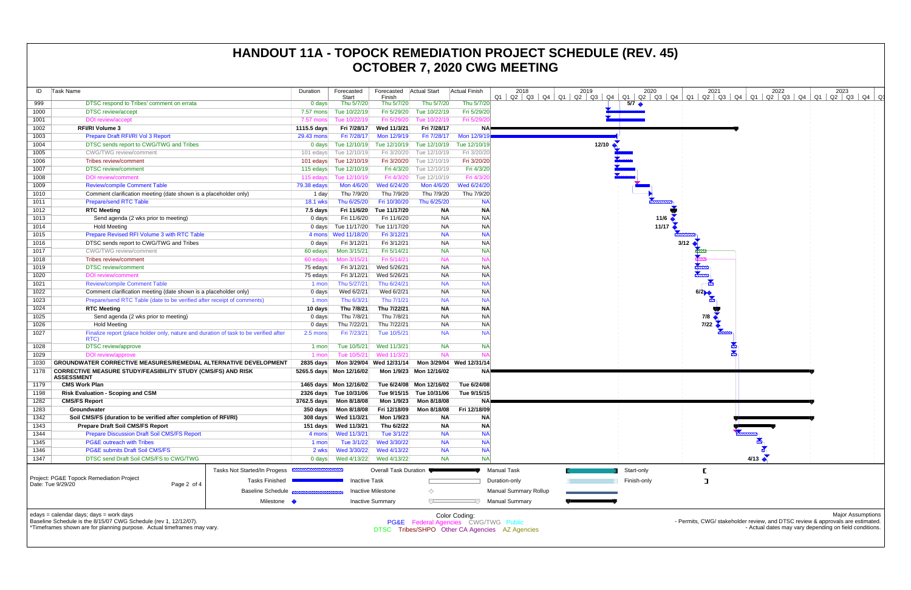| ID   | Task Name                                                                                                                                                                              |                                                          | Duration             | Forecasted<br>Start      | Forecasted<br>Finish      | <b>Actual Start</b>                  | <b>Actual Finish</b>     | 2018<br>Q4<br>Q1<br>Q2<br>Q3                   | 2019<br>$Q1$ $Q2$ $Q3$<br>Q4 | 2020<br>Q1<br>Q2   Q3 |
|------|----------------------------------------------------------------------------------------------------------------------------------------------------------------------------------------|----------------------------------------------------------|----------------------|--------------------------|---------------------------|--------------------------------------|--------------------------|------------------------------------------------|------------------------------|-----------------------|
| 999  | DTSC respond to Tribes' comment on errata                                                                                                                                              |                                                          | $0$ days             | Thu 5/7/20               | Thu 5/7/20                | Thu 5/7/20                           | Thu 5/7/20               |                                                |                              | $5/7$ $\triangleleft$ |
| 1000 | <b>DTSC</b> review/accept                                                                                                                                                              |                                                          | 7.57 mons            | Tue 10/22/19             | Fri 5/29/20               | Tue 10/22/19                         | Fri 5/29/20              |                                                |                              |                       |
| 1001 | <b>DOI</b> review/accept                                                                                                                                                               |                                                          | 7.57 mons            | Tue 10/22/19             | Fri 5/29/20               | Tue 10/22/19                         | Fri 5/29/2               |                                                |                              |                       |
| 1002 | <b>RFI/RI Volume 3</b>                                                                                                                                                                 |                                                          | 1115.5 days          | Fri 7/28/17              | Wed 11/3/21               | Fri 7/28/17                          | <b>NA</b>                |                                                |                              |                       |
| 1003 | Prepare Draft RFI/RI Vol 3 Report                                                                                                                                                      |                                                          | 29.43 mons           | Fri 7/28/17              | Mon 12/9/19               | Fri 7/28/17                          | Mon 12/9/19              |                                                |                              |                       |
| 1004 | DTSC sends report to CWG/TWG and Tribes                                                                                                                                                |                                                          | 0 <sub>days</sub>    | Tue 12/10/19             | Tue 12/10/19              | Tue 12/10/19                         | Tue 12/10/19             |                                                | 12/10                        |                       |
| 1005 | CWG/TWG review/comment                                                                                                                                                                 |                                                          | 101 edays            | Tue 12/10/19             | Fri 3/20/20               | Tue 12/10/19                         | Fri 3/20/20              |                                                |                              |                       |
| 1006 | Tribes review/comment                                                                                                                                                                  |                                                          | 101 edays            | Tue 12/10/19             | Fri 3/20/20               | Tue 12/10/19                         | Fri 3/20/20              |                                                |                              |                       |
| 1007 | <b>DTSC</b> review/comment                                                                                                                                                             |                                                          | 115 edays            | Tue 12/10/19             | Fri 4/3/20                | Tue 12/10/19                         | Fri 4/3/20               |                                                |                              |                       |
| 1008 | <b>DOI</b> review/comment                                                                                                                                                              |                                                          | 115 edays            | Tue 12/10/19             | Fri 4/3/20                | Tue 12/10/19                         | Fri 4/3/2                |                                                |                              |                       |
| 1009 | <b>Review/compile Comment Table</b>                                                                                                                                                    |                                                          | 79.38 edays          | Mon 4/6/20               | Wed 6/24/20               | Mon 4/6/20                           | Wed 6/24/20              |                                                |                              |                       |
| 1010 | Comment clarification meeting (date shown is a placeholder only)                                                                                                                       |                                                          | 1 day                | Thu 7/9/20               | Thu 7/9/20                | Thu 7/9/20                           | Thu 7/9/20               |                                                |                              |                       |
| 1011 | <b>Prepare/send RTC Table</b>                                                                                                                                                          |                                                          | 18.1 wks             | Thu 6/25/20              | Fri 10/30/20              | Thu 6/25/20                          | <b>NA</b>                |                                                |                              |                       |
| 1012 | <b>RTC Meeting</b>                                                                                                                                                                     |                                                          | $7.5$ days           | Fri 11/6/20              | Tue 11/17/20              | <b>NA</b>                            | <b>NA</b>                |                                                |                              |                       |
| 1013 | Send agenda (2 wks prior to meeting)                                                                                                                                                   |                                                          | $0$ days             | Fri 11/6/20              | Fri 11/6/20               | <b>NA</b>                            | <b>NA</b>                |                                                |                              | 11/6                  |
| 1014 | <b>Hold Meeting</b>                                                                                                                                                                    |                                                          | 0 days               | Tue 11/17/20             | Tue 11/17/20              | <b>NA</b>                            | <b>NA</b>                |                                                |                              | 11/17                 |
| 1015 | Prepare Revised RFI Volume 3 with RTC Table                                                                                                                                            |                                                          |                      |                          | Fri 3/12/21               | <b>NA</b>                            | <b>NA</b>                |                                                |                              |                       |
| 1016 | DTSC sends report to CWG/TWG and Tribes                                                                                                                                                |                                                          | $0$ days             | Fri 3/12/21              | Fri 3/12/21               | <b>NA</b>                            | <b>NA</b>                |                                                |                              |                       |
| 1017 | <b>CWG/TWG</b> review/comment                                                                                                                                                          |                                                          | 60 edays             | Mon 3/15/21              | Fri 5/14/21               | <b>NA</b>                            | <b>NA</b>                |                                                |                              |                       |
| 1018 | Tribes review/comment                                                                                                                                                                  |                                                          | 60 edays             | Mon 3/15/21              | Fri 5/14/21               | <b>NA</b>                            | $N_A$                    |                                                |                              |                       |
| 1019 | <b>DTSC</b> review/comment                                                                                                                                                             |                                                          | 75 edays             | Fri 3/12/21              | Wed 5/26/21               | <b>NA</b>                            | <b>NA</b>                |                                                |                              |                       |
| 1020 | <b>DOI</b> review/comment                                                                                                                                                              |                                                          | 75 edays             | Fri 3/12/21              | Wed 5/26/21               | <b>NA</b>                            | <b>NA</b>                |                                                |                              |                       |
| 1021 | <b>Review/compile Comment Table</b>                                                                                                                                                    |                                                          | 1 mon                | Thu 5/27/21              | Thu 6/24/21               | <b>NA</b>                            | <b>NA</b>                |                                                |                              |                       |
| 1022 | Comment clarification meeting (date shown is a placeholder only)                                                                                                                       |                                                          | $0$ days             | Wed 6/2/21               | Wed 6/2/21                | <b>NA</b>                            | <b>NA</b>                |                                                |                              |                       |
| 1023 | Prepare/send RTC Table (date to be verified after receipt of comments)                                                                                                                 |                                                          | 1 mon                | Thu 6/3/21               | Thu 7/1/21                | <b>NA</b>                            | <b>NA</b>                |                                                |                              |                       |
| 1024 | <b>RTC Meeting</b>                                                                                                                                                                     |                                                          | 10 days              | Thu 7/8/21               | Thu 7/22/21               | <b>NA</b>                            | <b>NA</b>                |                                                |                              |                       |
| 1025 | Send agenda (2 wks prior to meeting)                                                                                                                                                   |                                                          | $0$ days             | Thu 7/8/21               | Thu 7/8/21                | <b>NA</b>                            | <b>NA</b>                |                                                |                              |                       |
| 1026 | <b>Hold Meeting</b>                                                                                                                                                                    |                                                          | $0$ days             | Thu 7/22/21              | Thu 7/22/21               | <b>NA</b>                            | <b>NA</b>                |                                                |                              |                       |
| 1027 | Finalize report (place holder only, nature and duration of task to be verified after                                                                                                   |                                                          | 2.5 mons             | Fri 7/23/21              | Tue 10/5/21               | <b>NA</b>                            | <b>NA</b>                |                                                |                              |                       |
|      | RTC)                                                                                                                                                                                   |                                                          |                      |                          |                           |                                      |                          |                                                |                              |                       |
| 1028 | <b>DTSC</b> review/approve                                                                                                                                                             |                                                          | 1 mon                | Tue 10/5/21              | Wed 11/3/21               | <b>NA</b>                            | <b>NA</b>                |                                                |                              |                       |
| 1029 | DOI review/approve                                                                                                                                                                     |                                                          | 1 mon                | Tue 10/5/21              | Wed 11/3/21               | <b>NA</b>                            | $N_A$                    |                                                |                              |                       |
| 1030 | GROUNDWATER CORRECTIVE MEASURES/REMEDIAL ALTERNATIVE DEVELOPMENT                                                                                                                       |                                                          | 2835 days            | Mon 3/29/04              | Wed 12/31/14              |                                      | Mon 3/29/04 Wed 12/31/14 |                                                |                              |                       |
| 1178 | <b>CORRECTIVE MEASURE STUDY/FEASIBILITY STUDY (CMS/FS) AND RISK</b><br><b>ASSESSMENT</b>                                                                                               |                                                          |                      | 5265.5 days Mon 12/16/02 |                           | Mon 1/9/23 Mon 12/16/02              | <b>NA</b>                |                                                |                              |                       |
| 1179 | <b>CMS Work Plan</b>                                                                                                                                                                   |                                                          |                      | 1465 days Mon 12/16/02   |                           | Tue 6/24/08 Mon 12/16/02             | Tue 6/24/08              |                                                |                              |                       |
| 1198 | <b>Risk Evaluation - Scoping and CSM</b>                                                                                                                                               |                                                          |                      | 2326 days Tue 10/31/06   |                           | Tue 9/15/15 Tue 10/31/06             | Tue 9/15/15              |                                                |                              |                       |
| 1282 | <b>CMS/FS Report</b>                                                                                                                                                                   |                                                          | 3762.5 days          | Mon 8/18/08              | Mon 1/9/23                | Mon 8/18/08                          | <b>NA</b>                |                                                |                              |                       |
| 1283 | Groundwater                                                                                                                                                                            |                                                          | $350$ days           | Mon 8/18/08              | Fri 12/18/09              | Mon 8/18/08                          | Fri 12/18/09             |                                                |                              |                       |
| 1342 | Soil CMS/FS (duration to be verified after completion of RFI/RI)                                                                                                                       |                                                          |                      |                          | Mon 1/9/23                | <b>NA</b>                            | <b>NA</b>                |                                                |                              |                       |
| 1343 | Prepare Draft Soil CMS/FS Report                                                                                                                                                       |                                                          | 151 days             | Wed 11/3/21              | Thu 6/2/22                | <b>NA</b>                            | ΝA                       |                                                |                              |                       |
| 1344 | <b>Prepare Discussion Draft Soil CMS/FS Report</b>                                                                                                                                     |                                                          | 4 mons               | Wed 11/3/21              | Tue 3/1/22                | <b>NA</b>                            | <b>NA</b>                |                                                |                              |                       |
| 1345 | <b>PG&amp;E</b> outreach with Tribes                                                                                                                                                   |                                                          | 1 mon                | Tue 3/1/22               | Wed 3/30/22               | <b>NA</b>                            | <b>NA</b>                |                                                |                              |                       |
| 1346 | <b>PG&amp;E submits Draft Soil CMS/FS</b>                                                                                                                                              |                                                          | 2 wks                | Wed 3/30/22              | Wed 4/13/22               | <b>NA</b>                            | <b>NA</b>                |                                                |                              |                       |
| 1347 | DTSC send Draft Soil CMS/FS to CWG/TWG                                                                                                                                                 |                                                          | $0$ days             | Wed 4/13/22              | Wed 4/13/22               | <b>NA</b>                            | <b>NA</b>                |                                                |                              |                       |
|      |                                                                                                                                                                                        | Tasks Not Started/In Progess <b>EXAMPLE DETAILS TO A</b> |                      |                          | Overall Task Duration     |                                      |                          | Manual Task                                    |                              | Start-only            |
|      | Project: PG&E Topock Remediation Project<br><b>Tasks Finished</b><br>Date: Tue 9/29/20<br>Page 2 of 4                                                                                  |                                                          | <b>Inactive Task</b> |                          |                           |                                      |                          | Duration-only                                  |                              | Finish-only           |
|      |                                                                                                                                                                                        | Baseline Schedule                                        |                      |                          | <b>Inactive Milestone</b> | ◇                                    |                          | <b>Manual Summary Rollup</b>                   |                              |                       |
|      |                                                                                                                                                                                        | Milestone •                                              |                      |                          | <b>Inactive Summary</b>   | ∪                                    |                          | <b>Manual Summary</b>                          |                              |                       |
|      | edays = calendar days; days = work days<br>Baseline Schedule is the 8/15/07 CWG Schedule (rev 1, 12/12/07).<br>*Timeframes shown are for planning purpose. Actual timeframes may vary. |                                                          |                      |                          |                           | PG&E Federal Agencies CWG/TWG Public | Color Coding:            | DTSC Tribes/SHPO Other CA Agencies AZ Agencies |                              |                       |

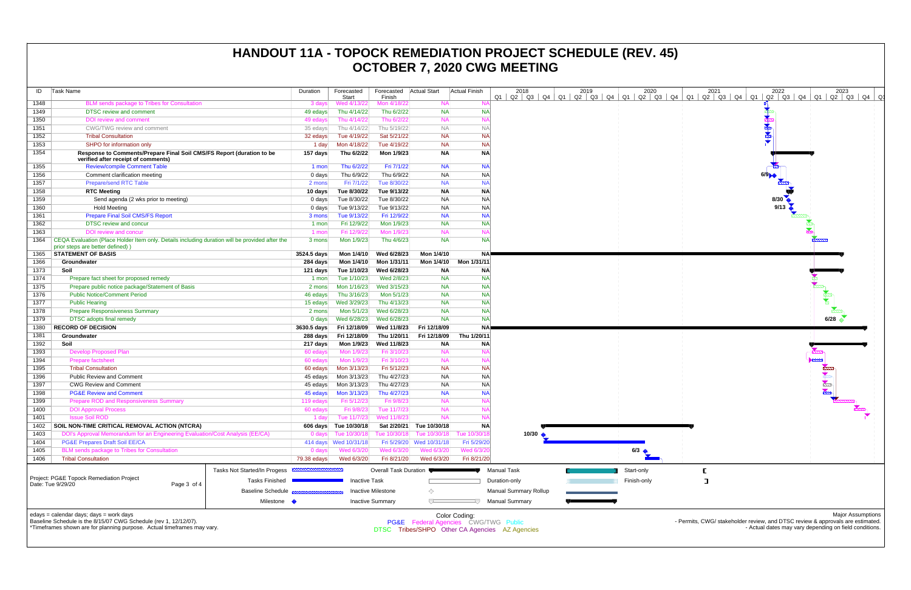| ID   | <b>Task Name</b>                                                                                                                                                                       | Duration              | Forecasted<br>Start    | Forecasted Actual Start<br>Finish |                                      | <b>Actual Finish</b> | 2018<br>$Q2 \mid Q3 \mid Q4$<br>Q1             |  | 2019<br>Q1   Q2   Q3   Q4 |             | 2020<br>$Q1$ $Q2$ $Q3$ |
|------|----------------------------------------------------------------------------------------------------------------------------------------------------------------------------------------|-----------------------|------------------------|-----------------------------------|--------------------------------------|----------------------|------------------------------------------------|--|---------------------------|-------------|------------------------|
| 1348 | BLM sends package to Tribes for Consultation                                                                                                                                           | 3 days                | Wed 4/13/22            | Mon 4/18/22                       | <b>NA</b>                            | N                    |                                                |  |                           |             |                        |
| 1349 | DTSC review and comment                                                                                                                                                                | 49 edays              | Thu 4/14/22            | Thu 6/2/22                        | <b>NA</b>                            | <b>NA</b>            |                                                |  |                           |             |                        |
| 1350 | <b>DOI</b> review and comment                                                                                                                                                          | 49 edays              | Thu 4/14/22            | Thu 6/2/22                        | <b>NA</b>                            | N                    |                                                |  |                           |             |                        |
| 1351 | CWG/TWG review and comment                                                                                                                                                             | 35 edays              | Thu 4/14/22            | Thu 5/19/22                       | <b>NA</b>                            | $N_A$                |                                                |  |                           |             |                        |
| 1352 | <b>Tribal Consultation</b>                                                                                                                                                             | 32 edays              | Tue 4/19/22            | Sat 5/21/22                       | <b>NA</b>                            | <b>NA</b>            |                                                |  |                           |             |                        |
| 1353 | SHPO for information only                                                                                                                                                              | 1 day                 | Mon 4/18/22            | Tue 4/19/22                       | <b>NA</b>                            | <b>NA</b>            |                                                |  |                           |             |                        |
| 1354 | Response to Comments/Prepare Final Soil CMS/FS Report (duration to be<br>verified after receipt of comments)                                                                           | 157 days              | Thu 6/2/22             | Mon 1/9/23                        | <b>NA</b>                            | <b>NA</b>            |                                                |  |                           |             |                        |
| 1355 | <b>Review/compile Comment Table</b>                                                                                                                                                    | 1 mon                 | Thu 6/2/22             | Fri 7/1/22                        | <b>NA</b>                            | <b>NA</b>            |                                                |  |                           |             |                        |
| 1356 | Comment clarification meeting                                                                                                                                                          | 0 days                | Thu 6/9/22             | Thu 6/9/22                        | <b>NA</b>                            | <b>NA</b>            |                                                |  |                           |             |                        |
| 1357 | <b>Prepare/send RTC Table</b>                                                                                                                                                          | 2 mons                | Fri 7/1/22             | Tue 8/30/22                       | <b>NA</b>                            | <b>NA</b>            |                                                |  |                           |             |                        |
| 1358 | <b>RTC Meeting</b>                                                                                                                                                                     | 10 days               | Tue 8/30/22            | Tue 9/13/22                       | <b>NA</b>                            | <b>NA</b>            |                                                |  |                           |             |                        |
| 1359 | Send agenda (2 wks prior to meeting)                                                                                                                                                   | $0$ days              | Tue 8/30/22            | Tue 8/30/22                       | <b>NA</b>                            | <b>NA</b>            |                                                |  |                           |             |                        |
| 1360 | <b>Hold Meeting</b>                                                                                                                                                                    | $0$ days              | Tue 9/13/22            | Tue 9/13/22                       | <b>NA</b>                            | <b>NA</b>            |                                                |  |                           |             |                        |
| 1361 | <b>Prepare Final Soil CMS/FS Report</b>                                                                                                                                                | 3 mons                | Tue 9/13/22            | Fri 12/9/22                       | <b>NA</b>                            | <b>NA</b>            |                                                |  |                           |             |                        |
| 1362 | <b>DTSC review and concur</b>                                                                                                                                                          | 1 mon                 | Fri 12/9/22            | Mon 1/9/23                        | <b>NA</b>                            | <b>NA</b>            |                                                |  |                           |             |                        |
| 1363 | DOI review and concur                                                                                                                                                                  | 1 mon                 | Fri 12/9/22            | Mon 1/9/23                        | <b>NA</b>                            | N/                   |                                                |  |                           |             |                        |
| 1364 | CEQA Evaluation (Place Holder Item only. Details including duration will be provided after the<br>prior steps are better defined))                                                     | 3 mons                | Mon 1/9/23             | Thu 4/6/23                        | <b>NA</b>                            | <b>NA</b>            |                                                |  |                           |             |                        |
| 1365 | <b>STATEMENT OF BASIS</b>                                                                                                                                                              | 3524.5 days           | Mon 1/4/10             | Wed 6/28/23                       | Mon 1/4/10                           | <b>NA</b>            |                                                |  |                           |             |                        |
| 1366 | Groundwater                                                                                                                                                                            | 284 days              | Mon 1/4/10             | Mon 1/31/11                       | Mon 1/4/10                           | Mon 1/31/11          |                                                |  |                           |             |                        |
| 1373 | Soil                                                                                                                                                                                   | 121 days              | Tue 1/10/23            | Wed 6/28/23                       | <b>NA</b>                            | ΝA                   |                                                |  |                           |             |                        |
| 1374 | Prepare fact sheet for proposed remedy                                                                                                                                                 | 1 mon                 | Tue 1/10/23            | Wed 2/8/23                        | <b>NA</b>                            | <b>NA</b>            |                                                |  |                           |             |                        |
| 1375 | Prepare public notice package/Statement of Basis                                                                                                                                       | 2 mons                | Mon 1/16/23            | Wed 3/15/23                       | <b>NA</b>                            | <b>NA</b>            |                                                |  |                           |             |                        |
| 1376 | <b>Public Notice/Comment Period</b>                                                                                                                                                    | 46 edays              | Thu 3/16/23            | Mon 5/1/23                        | <b>NA</b>                            | <b>NA</b>            |                                                |  |                           |             |                        |
| 1377 | <b>Public Hearing</b>                                                                                                                                                                  | 15 edays              | Wed 3/29/23            | Thu 4/13/23                       | <b>NA</b>                            | <b>NA</b>            |                                                |  |                           |             |                        |
| 1378 | <b>Prepare Responsiveness Summary</b>                                                                                                                                                  | 2 mons                | Mon 5/1/23             | Wed 6/28/23                       | <b>NA</b>                            | <b>NA</b>            |                                                |  |                           |             |                        |
| 1379 | <b>DTSC</b> adopts final remedy                                                                                                                                                        | $0$ days              | Wed 6/28/23            | Wed 6/28/23                       | <b>NA</b>                            | <b>NA</b>            |                                                |  |                           |             |                        |
| 1380 | <b>RECORD OF DECISION</b>                                                                                                                                                              | 3630.5 days           | Fri 12/18/09           | Wed 11/8/23                       | Fri 12/18/09                         | <b>NA</b>            |                                                |  |                           |             |                        |
| 1381 | Groundwater                                                                                                                                                                            | 288 days              | Fri 12/18/09           | Thu 1/20/11                       | Fri 12/18/09                         | Thu 1/20/11          |                                                |  |                           |             |                        |
| 1392 | Soil                                                                                                                                                                                   | 217 days              | Mon 1/9/23             | Wed 11/8/23                       | <b>NA</b>                            | <b>NA</b>            |                                                |  |                           |             |                        |
| 1393 | <b>Develop Proposed Plan</b>                                                                                                                                                           | 60 edays              | Mon 1/9/23             | Fri 3/10/23                       | <b>NA</b>                            | N/                   |                                                |  |                           |             |                        |
| 1394 | <b>Prepare factsheet</b>                                                                                                                                                               | 60 edays              | Mon 1/9/23             | Fri 3/10/23                       | <b>NA</b>                            | N                    |                                                |  |                           |             |                        |
| 1395 | <b>Tribal Consultation</b>                                                                                                                                                             | 60 edays              | Mon 3/13/23            | Fri 5/12/23                       | <b>NA</b>                            | <b>NA</b>            |                                                |  |                           |             |                        |
| 1396 | <b>Public Review and Comment</b>                                                                                                                                                       | 45 edays              | Mon 3/13/23            | Thu 4/27/23                       | <b>NA</b>                            | <b>NA</b>            |                                                |  |                           |             |                        |
| 1397 | <b>CWG Review and Comment</b>                                                                                                                                                          | 45 edays              | Mon 3/13/23            | Thu 4/27/23                       | <b>NA</b>                            | <b>NA</b>            |                                                |  |                           |             |                        |
| 1398 | <b>PG&amp;E Review and Comment</b>                                                                                                                                                     | 45 edays              | Mon 3/13/23            | Thu 4/27/23                       | <b>NA</b>                            | <b>NA</b>            |                                                |  |                           |             |                        |
| 1399 | <b>Prepare ROD and Responsiveness Summary</b>                                                                                                                                          | 119 edays             | Fri 5/12/23            | Fri 9/8/23                        | <b>NA</b>                            | N/                   |                                                |  |                           |             |                        |
| 1400 | <b>DOI Approval Process</b>                                                                                                                                                            | 60 edays              | Fri 9/8/23             | Tue 11/7/23                       | <b>NA</b>                            | N                    |                                                |  |                           |             |                        |
| 1401 | <b>Issue Soil ROD</b>                                                                                                                                                                  | $1$ day               | Tue 11/7/23            | Wed 11/8/23                       | <b>NA</b>                            | N/                   |                                                |  |                           |             |                        |
| 1402 | SOIL NON-TIME CRITICAL REMOVAL ACTION (NTCRA)                                                                                                                                          |                       | 606 days Tue 10/30/18  | Sat 2/20/21                       | Tue 10/30/18                         | <b>NA</b>            |                                                |  |                           |             |                        |
| 1403 | DOI's Approval Memorandum for an Engineering Evaluation/Cost Analysis (EE/CA)                                                                                                          | $0$ days              | Tue 10/30/18           | Tue 10/30/18                      | Tue 10/30/18                         | Tue 10/30/1          | 10/30 $\triangle$                              |  |                           |             |                        |
| 1404 | <b>PG&amp;E Prepares Draft Soil EE/CA</b>                                                                                                                                              |                       | 414 days  Wed 10/31/18 | Fri 5/29/20                       | Wed 10/31/18                         | Fri 5/29/20          |                                                |  |                           |             |                        |
| 1405 | BLM sends package to Tribes for Consultation                                                                                                                                           | $0$ days              | Wed 6/3/20             | Wed 6/3/20                        | Wed 6/3/20                           | Wed 6/3/20           |                                                |  |                           | 6/3         |                        |
| 1406 | <b>Tribal Consultation</b>                                                                                                                                                             | 79.38 edays           | Wed 6/3/20             | Fri 8/21/20                       | Wed 6/3/20                           | Fri 8/21/20          |                                                |  |                           |             |                        |
|      | <b>Tasks Not Started/In Progess</b>                                                                                                                                                    | <b>MANUHAMMANUHUW</b> |                        | Overall Task Duration             |                                      |                      | <b>Manual Task</b>                             |  |                           | Start-only  |                        |
|      | Project: PG&E Topock Remediation Project<br><b>Tasks Finished</b><br>Date: Tue 9/29/20<br>Page 3 of 4<br><b>Baseline Schedule</b>                                                      |                       | <b>Inactive Task</b>   |                                   |                                      |                      | Duration-only                                  |  |                           | Finish-only |                        |
|      |                                                                                                                                                                                        |                       |                        |                                   |                                      |                      |                                                |  |                           |             |                        |
|      |                                                                                                                                                                                        |                       |                        | <b>Inactive Milestone</b>         | ◇                                    |                      | <b>Manual Summary Rollup</b>                   |  |                           |             |                        |
|      | Milestone •                                                                                                                                                                            |                       |                        | <b>Inactive Summary</b>           |                                      |                      | <b>Manual Summary</b>                          |  |                           |             |                        |
|      | edays = calendar days; days = work days<br>Baseline Schedule is the 8/15/07 CWG Schedule (rev 1, 12/12/07).<br>*Timeframes shown are for planning purpose. Actual timeframes may vary. |                       |                        |                                   | PG&E Federal Agencies CWG/TWG Public | Color Coding:        | DTSC Tribes/SHPO Other CA Agencies AZ Agencies |  |                           |             |                        |